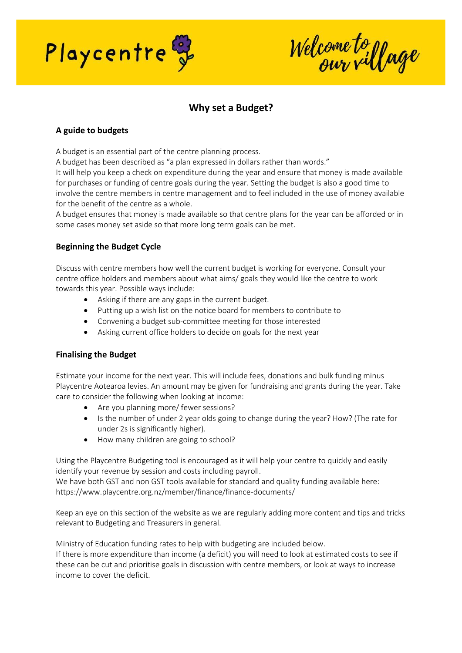

Welcome to yage

# **Why set a Budget?**

# **A guide to budgets**

A budget is an essential part of the centre planning process.

A budget has been described as "a plan expressed in dollars rather than words."

It will help you keep a check on expenditure during the year and ensure that money is made available for purchases or funding of centre goals during the year. Setting the budget is also a good time to involve the centre members in centre management and to feel included in the use of money available for the benefit of the centre as a whole.

A budget ensures that money is made available so that centre plans for the year can be afforded or in some cases money set aside so that more long term goals can be met.

## **Beginning the Budget Cycle**

Discuss with centre members how well the current budget is working for everyone. Consult your centre office holders and members about what aims/ goals they would like the centre to work towards this year. Possible ways include:

- Asking if there are any gaps in the current budget.
- Putting up a wish list on the notice board for members to contribute to
- Convening a budget sub-committee meeting for those interested
- Asking current office holders to decide on goals for the next year

## **Finalising the Budget**

Estimate your income for the next year. This will include fees, donations and bulk funding minus Playcentre Aotearoa levies. An amount may be given for fundraising and grants during the year. Take care to consider the following when looking at income:

- Are you planning more/ fewer sessions?
- Is the number of under 2 year olds going to change during the year? How? (The rate for under 2s is significantly higher).
- How many children are going to school?

Using the Playcentre Budgeting tool is encouraged as it will help your centre to quickly and easily identify your revenue by session and costs including payroll.

We have both GST and non GST tools available for standard and quality funding available here: https://www.playcentre.org.nz/member/finance/finance-documents/

Keep an eye on this section of the website as we are regularly adding more content and tips and tricks relevant to Budgeting and Treasurers in general.

Ministry of Education funding rates to help with budgeting are included below. If there is more expenditure than income (a deficit) you will need to look at estimated costs to see if

these can be cut and prioritise goals in discussion with centre members, or look at ways to increase income to cover the deficit.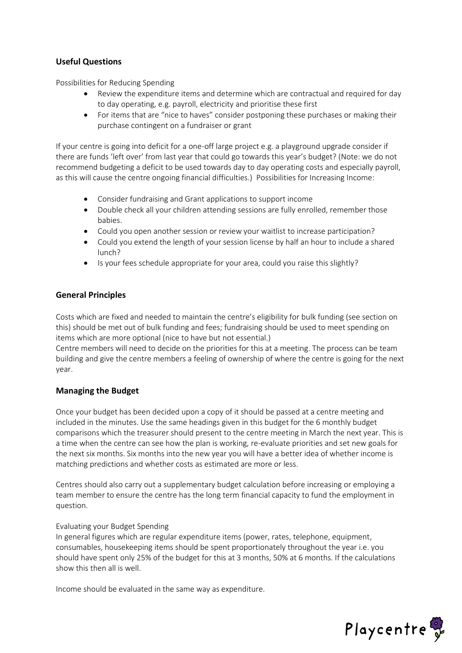## **Useful Questions**

Possibilities for Reducing Spending

- Review the expenditure items and determine which are contractual and required for day to day operating, e.g. payroll, electricity and prioritise these first
- For items that are "nice to haves" consider postponing these purchases or making their purchase contingent on a fundraiser or grant

If your centre is going into deficit for a one-off large project e.g. a playground upgrade consider if there are funds 'left over' from last year that could go towards this year's budget? (Note: we do not recommend budgeting a deficit to be used towards day to day operating costs and especially payroll, as this will cause the centre ongoing financial difficulties.) Possibilities for Increasing Income:

- Consider fundraising and Grant applications to support income
- Double check all your children attending sessions are fully enrolled, remember those babies.
- Could you open another session or review your waitlist to increase participation?
- Could you extend the length of your session license by half an hour to include a shared lunch?
- Is your fees schedule appropriate for your area, could you raise this slightly?

## **General Principles**

Costs which are fixed and needed to maintain the centre's eligibility for bulk funding (see section on this) should be met out of bulk funding and fees; fundraising should be used to meet spending on items which are more optional (nice to have but not essential.)

Centre members will need to decide on the priorities for this at a meeting. The process can be team building and give the centre members a feeling of ownership of where the centre is going for the next year.

## **Managing the Budget**

Once your budget has been decided upon a copy of it should be passed at a centre meeting and included in the minutes. Use the same headings given in this budget for the 6 monthly budget comparisons which the treasurer should present to the centre meeting in March the next year. This is a time when the centre can see how the plan is working, re-evaluate priorities and set new goals for the next six months. Six months into the new year you will have a better idea of whether income is matching predictions and whether costs as estimated are more or less.

Centres should also carry out a supplementary budget calculation before increasing or employing a team member to ensure the centre has the long term financial capacity to fund the employment in question.

## Evaluating your Budget Spending

In general figures which are regular expenditure items (power, rates, telephone, equipment, consumables, housekeeping items should be spent proportionately throughout the year i.e. you should have spent only 25% of the budget for this at 3 months, 50% at 6 months. If the calculations show this then all is well.

Income should be evaluated in the same way as expenditure.

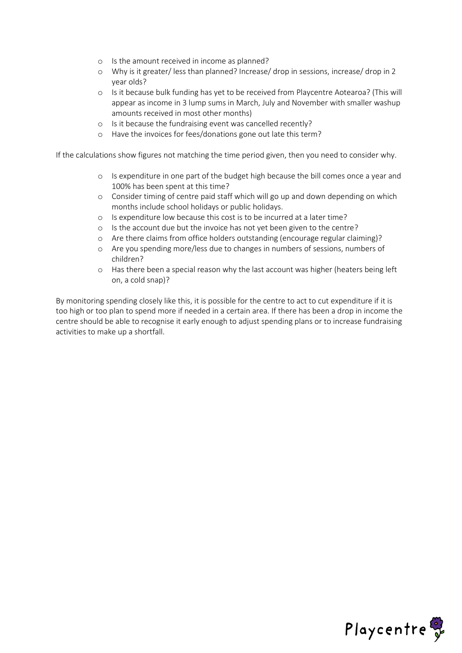- o Is the amount received in income as planned?
- o Why is it greater/ less than planned? Increase/ drop in sessions, increase/ drop in 2 year olds?
- o Is it because bulk funding has yet to be received from Playcentre Aotearoa? (This will appear as income in 3 lump sums in March, July and November with smaller washup amounts received in most other months)
- o Is it because the fundraising event was cancelled recently?
- o Have the invoices for fees/donations gone out late this term?

If the calculations show figures not matching the time period given, then you need to consider why.

- o Is expenditure in one part of the budget high because the bill comes once a year and 100% has been spent at this time?
- o Consider timing of centre paid staff which will go up and down depending on which months include school holidays or public holidays.
- o Is expenditure low because this cost is to be incurred at a later time?
- o Is the account due but the invoice has not yet been given to the centre?
- o Are there claims from office holders outstanding (encourage regular claiming)?
- o Are you spending more/less due to changes in numbers of sessions, numbers of children?
- o Has there been a special reason why the last account was higher (heaters being left on, a cold snap)?

By monitoring spending closely like this, it is possible for the centre to act to cut expenditure if it is too high or too plan to spend more if needed in a certain area. If there has been a drop in income the centre should be able to recognise it early enough to adjust spending plans or to increase fundraising activities to make up a shortfall.

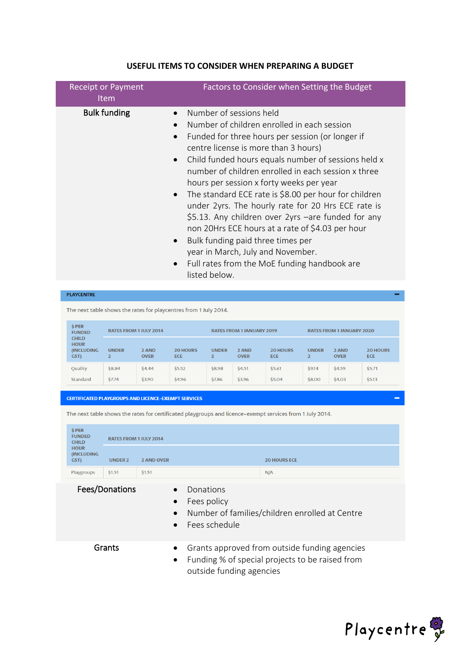| <b>Bulk funding</b><br>Number of sessions held<br>Number of children enrolled in each session<br>$\bullet$<br>Funded for three hours per session (or longer if<br>centre license is more than 3 hours)<br>Child funded hours equals number of sessions held x<br>$\bullet$<br>number of children enrolled in each session x three<br>hours per session x forty weeks per year<br>The standard ECE rate is \$8.00 per hour for children<br>$\bullet$<br>under 2yrs. The hourly rate for 20 Hrs ECE rate is<br>\$5.13. Any children over 2yrs -are funded for any<br>non 20Hrs ECE hours at a rate of \$4.03 per hour<br>Bulk funding paid three times per<br>$\bullet$<br>year in March, July and November.<br>Full rates from the MoE funding handbook are<br>$\bullet$<br>listed below. | <b>Receipt or Payment</b><br><b>Item</b> | Factors to Consider when Setting the Budget |
|------------------------------------------------------------------------------------------------------------------------------------------------------------------------------------------------------------------------------------------------------------------------------------------------------------------------------------------------------------------------------------------------------------------------------------------------------------------------------------------------------------------------------------------------------------------------------------------------------------------------------------------------------------------------------------------------------------------------------------------------------------------------------------------|------------------------------------------|---------------------------------------------|
|                                                                                                                                                                                                                                                                                                                                                                                                                                                                                                                                                                                                                                                                                                                                                                                          |                                          |                                             |

#### **USEFUL ITEMS TO CONSIDER WHEN PREPARING A BUDGET**

**PLAYCENTRE** 

The next table shows the rates for playcentres from 1 July 2014.

| <b>SPER</b><br><b>FUNDED</b>                              | <b>RATES FROM 1 JULY 2014</b> |                      | <b>RATES FROM 1 JANUARY 2019</b> |              |                      | <b>RATES FROM 1 JANUARY 2020</b> |                                |                      |                               |
|-----------------------------------------------------------|-------------------------------|----------------------|----------------------------------|--------------|----------------------|----------------------------------|--------------------------------|----------------------|-------------------------------|
| <b>CHILD</b><br><b>HOUR</b><br><b>(INCLUDING)</b><br>GST) | <b>UNDER</b>                  | 2 AND<br><b>OVER</b> | <b>20 HOURS</b><br><b>ECE</b>    | <b>UNDER</b> | 2 AND<br><b>OVER</b> | <b>20 HOURS</b><br><b>ECE</b>    | <b>UNDER</b><br>$\overline{2}$ | 2 AND<br><b>OVER</b> | <b>20 HOURS</b><br><b>ECE</b> |
| Quality                                                   | \$8.84                        | \$4.44               | \$5.52                           | \$8.98       | \$4.51               | \$5.61                           | \$9.14                         | \$4.59               | \$5.71                        |
| <b>Standard</b>                                           | \$7.74                        | \$3.90               | \$4.96                           | \$7.86       | \$3.96               | \$5.04                           | \$8.00                         | \$4.03               | \$5.13                        |

**CERTIFICATED PLAYGROUPS AND LICENCE-EXEMPT SERVICES** 

The next table shows the rates for certificated playgroups and licence-exempt services from 1 July 2014.

| \$ PER<br><b>FUNDED</b><br><b>CHILD</b>  | <b>RATES FROM 1 JULY 2014</b> |                   |                     |
|------------------------------------------|-------------------------------|-------------------|---------------------|
| <b>HOUR</b><br><b>(INCLUDING</b><br>GST) | <b>UNDER 2</b>                | <b>2 AND OVER</b> | <b>20 HOURS ECE</b> |
| Playgroups                               | \$1.51                        | \$1.51            | N/A                 |

Fees/Donations • Donations

- 
- Fees policy
- Number of families/children enrolled at Centre
- Fees schedule

- Grants Grants approved from outside funding agencies
	- Funding % of special projects to be raised from outside funding agencies

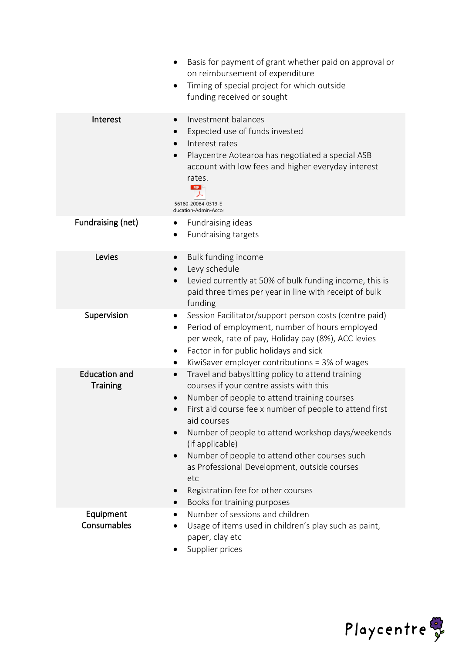|                                         | Basis for payment of grant whether paid on approval or<br>on reimbursement of expenditure<br>Timing of special project for which outside<br>٠<br>funding received or sought                                                                                                                                                                                                                                                                                                                                                                 |
|-----------------------------------------|---------------------------------------------------------------------------------------------------------------------------------------------------------------------------------------------------------------------------------------------------------------------------------------------------------------------------------------------------------------------------------------------------------------------------------------------------------------------------------------------------------------------------------------------|
| Interest                                | Investment balances<br>$\bullet$<br>Expected use of funds invested<br>$\bullet$<br>Interest rates<br>$\bullet$<br>Playcentre Aotearoa has negotiated a special ASB<br>$\bullet$<br>account with low fees and higher everyday interest<br>rates.<br>PDF<br>56180-20084-0319-E<br>ducation-Admin-Accor                                                                                                                                                                                                                                        |
| Fundraising (net)                       | Fundraising ideas<br><b>Fundraising targets</b>                                                                                                                                                                                                                                                                                                                                                                                                                                                                                             |
| Levies                                  | Bulk funding income<br>$\bullet$<br>Levy schedule<br>$\bullet$<br>Levied currently at 50% of bulk funding income, this is<br>paid three times per year in line with receipt of bulk<br>funding                                                                                                                                                                                                                                                                                                                                              |
| Supervision                             | Session Facilitator/support person costs (centre paid)<br>Period of employment, number of hours employed<br>$\bullet$<br>per week, rate of pay, Holiday pay (8%), ACC levies<br>Factor in for public holidays and sick<br>$\bullet$<br>KiwiSaver employer contributions = $3\%$ of wages<br>$\bullet$                                                                                                                                                                                                                                       |
| <b>Education and</b><br><b>Training</b> | Travel and babysitting policy to attend training<br>$\bullet$<br>courses if your centre assists with this<br>Number of people to attend training courses<br>First aid course fee x number of people to attend first<br>$\bullet$<br>aid courses<br>Number of people to attend workshop days/weekends<br>$\bullet$<br>(if applicable)<br>Number of people to attend other courses such<br>$\bullet$<br>as Professional Development, outside courses<br>etc<br>Registration fee for other courses<br>$\bullet$<br>Books for training purposes |
| Equipment<br>Consumables                | Number of sessions and children<br>Usage of items used in children's play such as paint,<br>paper, clay etc<br>Supplier prices                                                                                                                                                                                                                                                                                                                                                                                                              |

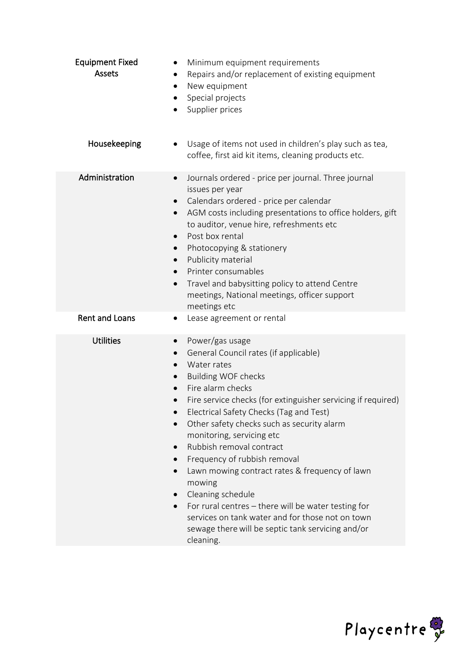| <b>Equipment Fixed</b><br><b>Assets</b> | Minimum equipment requirements<br>٠<br>Repairs and/or replacement of existing equipment<br>٠<br>New equipment<br>٠<br>Special projects<br>Supplier prices<br>$\bullet$                                                                                                                                                                                                                                                                                                                                                                                                                                                                                                                                      |
|-----------------------------------------|-------------------------------------------------------------------------------------------------------------------------------------------------------------------------------------------------------------------------------------------------------------------------------------------------------------------------------------------------------------------------------------------------------------------------------------------------------------------------------------------------------------------------------------------------------------------------------------------------------------------------------------------------------------------------------------------------------------|
| Housekeeping                            | Usage of items not used in children's play such as tea,<br>coffee, first aid kit items, cleaning products etc.                                                                                                                                                                                                                                                                                                                                                                                                                                                                                                                                                                                              |
| Administration                          | Journals ordered - price per journal. Three journal<br>$\bullet$<br>issues per year<br>Calendars ordered - price per calendar<br>AGM costs including presentations to office holders, gift<br>$\bullet$<br>to auditor, venue hire, refreshments etc<br>Post box rental<br>$\bullet$<br>Photocopying & stationery<br>Publicity material<br>$\bullet$<br>Printer consumables<br>$\bullet$<br>Travel and babysitting policy to attend Centre<br>$\bullet$<br>meetings, National meetings, officer support<br>meetings etc                                                                                                                                                                                      |
| <b>Rent and Loans</b>                   | Lease agreement or rental<br>$\bullet$                                                                                                                                                                                                                                                                                                                                                                                                                                                                                                                                                                                                                                                                      |
| <b>Utilities</b>                        | Power/gas usage<br>$\bullet$<br>General Council rates (if applicable)<br>$\bullet$<br>Water rates<br>$\bullet$<br><b>Building WOF checks</b><br>Fire alarm checks<br>Fire service checks (for extinguisher servicing if required)<br>Electrical Safety Checks (Tag and Test)<br>$\bullet$<br>Other safety checks such as security alarm<br>monitoring, servicing etc<br>Rubbish removal contract<br>Frequency of rubbish removal<br>Lawn mowing contract rates & frequency of lawn<br>mowing<br>Cleaning schedule<br>For rural centres - there will be water testing for<br>$\bullet$<br>services on tank water and for those not on town<br>sewage there will be septic tank servicing and/or<br>cleaning. |